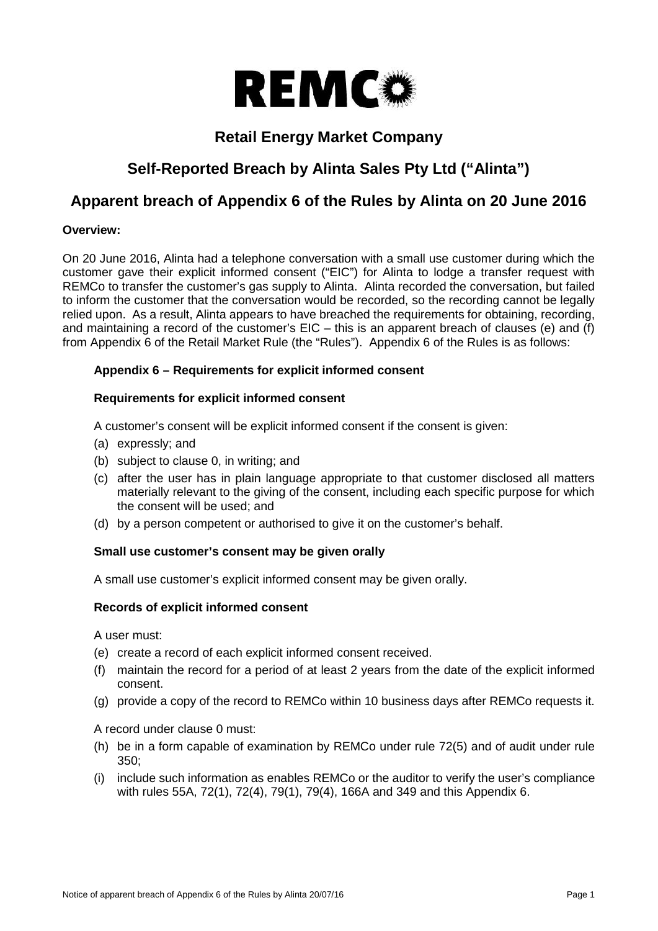

# **Retail Energy Market Company**

# **Self-Reported Breach by Alinta Sales Pty Ltd ("Alinta")**

# **Apparent breach of Appendix 6 of the Rules by Alinta on 20 June 2016**

# **Overview:**

On 20 June 2016, Alinta had a telephone conversation with a small use customer during which the customer gave their explicit informed consent ("EIC") for Alinta to lodge a transfer request with REMCo to transfer the customer's gas supply to Alinta. Alinta recorded the conversation, but failed to inform the customer that the conversation would be recorded, so the recording cannot be legally relied upon. As a result, Alinta appears to have breached the requirements for obtaining, recording, and maintaining a record of the customer's EIC – this is an apparent breach of clauses (e) and (f) from Appendix 6 of the Retail Market Rule (the "Rules"). Appendix 6 of the Rules is as follows:

# **Appendix 6 – Requirements for explicit informed consent**

# **Requirements for explicit informed consent**

A customer's consent will be explicit informed consent if the consent is given:

- (a) expressly; and
- (b) subject to clause 0, in writing; and
- (c) after the user has in plain language appropriate to that customer disclosed all matters materially relevant to the giving of the consent, including each specific purpose for which the consent will be used; and
- (d) by a person competent or authorised to give it on the customer's behalf.

### **Small use customer's consent may be given orally**

A small use customer's explicit informed consent may be given orally.

### **Records of explicit informed consent**

A user must:

- (e) create a record of each explicit informed consent received.
- (f) maintain the record for a period of at least 2 years from the date of the explicit informed consent.
- (g) provide a copy of the record to REMCo within 10 business days after REMCo requests it.

A record under clause 0 must:

- (h) be in a form capable of examination by REMCo under rule 72(5) and of audit under rule 350;
- (i) include such information as enables REMCo or the auditor to verify the user's compliance with rules 55A, 72(1), 72(4), 79(1), 79(4), 166A and 349 and this Appendix 6.